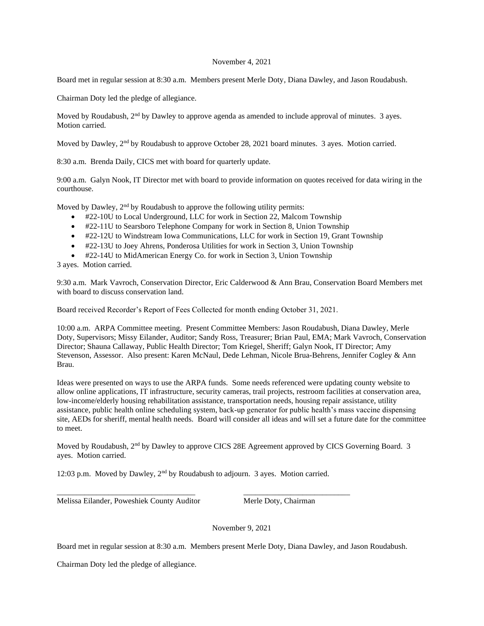#### November 4, 2021

Board met in regular session at 8:30 a.m. Members present Merle Doty, Diana Dawley, and Jason Roudabush.

Chairman Doty led the pledge of allegiance.

Moved by Roudabush,  $2<sup>nd</sup>$  by Dawley to approve agenda as amended to include approval of minutes. 3 ayes. Motion carried.

Moved by Dawley, 2<sup>nd</sup> by Roudabush to approve October 28, 2021 board minutes. 3 ayes. Motion carried.

8:30 a.m. Brenda Daily, CICS met with board for quarterly update.

9:00 a.m. Galyn Nook, IT Director met with board to provide information on quotes received for data wiring in the courthouse.

Moved by Dawley, 2<sup>nd</sup> by Roudabush to approve the following utility permits:

- #22-10U to Local Underground, LLC for work in Section 22, Malcom Township
- #22-11U to Searsboro Telephone Company for work in Section 8, Union Township
- #22-12U to Windstream Iowa Communications, LLC for work in Section 19, Grant Township
- #22-13U to Joey Ahrens, Ponderosa Utilities for work in Section 3, Union Township
- #22-14U to MidAmerican Energy Co. for work in Section 3, Union Township

3 ayes. Motion carried.

9:30 a.m. Mark Vavroch, Conservation Director, Eric Calderwood & Ann Brau, Conservation Board Members met with board to discuss conservation land.

Board received Recorder's Report of Fees Collected for month ending October 31, 2021.

10:00 a.m. ARPA Committee meeting. Present Committee Members: Jason Roudabush, Diana Dawley, Merle Doty, Supervisors; Missy Eilander, Auditor; Sandy Ross, Treasurer; Brian Paul, EMA; Mark Vavroch, Conservation Director; Shauna Callaway, Public Health Director; Tom Kriegel, Sheriff; Galyn Nook, IT Director; Amy Stevenson, Assessor. Also present: Karen McNaul, Dede Lehman, Nicole Brua-Behrens, Jennifer Cogley & Ann Brau.

Ideas were presented on ways to use the ARPA funds. Some needs referenced were updating county website to allow online applications, IT infrastructure, security cameras, trail projects, restroom facilities at conservation area, low-income/elderly housing rehabilitation assistance, transportation needs, housing repair assistance, utility assistance, public health online scheduling system, back-up generator for public health's mass vaccine dispensing site, AEDs for sheriff, mental health needs. Board will consider all ideas and will set a future date for the committee to meet.

Moved by Roudabush, 2<sup>nd</sup> by Dawley to approve CICS 28E Agreement approved by CICS Governing Board. 3 ayes. Motion carried.

12:03 p.m. Moved by Dawley, 2nd by Roudabush to adjourn. 3 ayes. Motion carried.

\_\_\_\_\_\_\_\_\_\_\_\_\_\_\_\_\_\_\_\_\_\_\_\_\_\_\_\_\_\_\_\_\_\_\_ \_\_\_\_\_\_\_\_\_\_\_\_\_\_\_\_\_\_\_\_\_\_\_\_\_\_\_

Melissa Eilander, Poweshiek County Auditor Merle Doty, Chairman

November 9, 2021

Board met in regular session at 8:30 a.m. Members present Merle Doty, Diana Dawley, and Jason Roudabush.

Chairman Doty led the pledge of allegiance.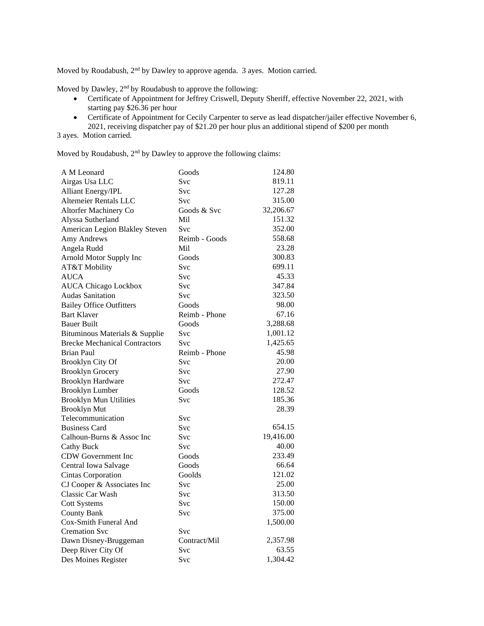Moved by Roudabush, 2<sup>nd</sup> by Dawley to approve agenda. 3 ayes. Motion carried.

Moved by Dawley, 2<sup>nd</sup> by Roudabush to approve the following:

- Certificate of Appointment for Jeffrey Criswell, Deputy Sheriff, effective November 22, 2021, with starting pay \$26.36 per hour
- Certificate of Appointment for Cecily Carpenter to serve as lead dispatcher/jailer effective November 6, 2021, receiving dispatcher pay of \$21.20 per hour plus an additional stipend of \$200 per month

3 ayes. Motion carried.

Moved by Roudabush, 2<sup>nd</sup> by Dawley to approve the following claims:

| A M Leonard                          | Goods         | 124.80    |
|--------------------------------------|---------------|-----------|
| Airgas Usa LLC                       | Svc           | 819.11    |
| <b>Alliant Energy/IPL</b>            | Svc           | 127.28    |
| Altemeier Rentals LLC                | <b>Svc</b>    | 315.00    |
| Altorfer Machinery Co                | Goods & Svc   | 32,206.67 |
| Alyssa Sutherland                    | Mil           | 151.32    |
| American Legion Blakley Steven       | <b>Svc</b>    | 352.00    |
| Amy Andrews                          | Reimb - Goods | 558.68    |
| Angela Rudd                          | Mil           | 23.28     |
| Arnold Motor Supply Inc              | Goods         | 300.83    |
| AT&T Mobility                        | Svc           | 699.11    |
| <b>AUCA</b>                          | Svc           | 45.33     |
| <b>AUCA Chicago Lockbox</b>          | Svc           | 347.84    |
| <b>Audas Sanitation</b>              | Svc           | 323.50    |
| <b>Bailey Office Outfitters</b>      | Goods         | 98.00     |
| <b>Bart Klaver</b>                   | Reimb - Phone | 67.16     |
| <b>Bauer Built</b>                   | Goods         | 3,288.68  |
| Bituminous Materials & Supplie       | Svc           | 1,001.12  |
| <b>Brecke Mechanical Contractors</b> | Svc           | 1,425.65  |
| <b>Brian Paul</b>                    | Reimb - Phone | 45.98     |
| <b>Brooklyn City Of</b>              | Svc           | 20.00     |
| <b>Brooklyn Grocery</b>              | Svc           | 27.90     |
| <b>Brooklyn Hardware</b>             | Svc           | 272.47    |
| <b>Brooklyn Lumber</b>               | Goods         | 128.52    |
| <b>Brooklyn Mun Utilities</b>        | Svc           | 185.36    |
| <b>Brooklyn Mut</b>                  |               | 28.39     |
| Telecommunication                    | Svc           |           |
| <b>Business Card</b>                 | Svc           | 654.15    |
| Calhoun-Burns & Assoc Inc            | Svc           | 19,416.00 |
| <b>Cathy Buck</b>                    | Svc           | 40.00     |
| <b>CDW</b> Government Inc            | Goods         | 233.49    |
| Central Iowa Salvage                 | Goods         | 66.64     |
| <b>Cintas Corporation</b>            | Goolds        | 121.02    |
| CJ Cooper & Associates Inc           | Svc           | 25.00     |
| Classic Car Wash                     | Svc           | 313.50    |
| <b>Cott Systems</b>                  | Svc           | 150.00    |
| <b>County Bank</b>                   | Svc           | 375.00    |
| Cox-Smith Funeral And                |               | 1,500.00  |
| <b>Cremation Svc</b>                 | Svc           |           |
| Dawn Disney-Bruggeman                | Contract/Mil  | 2,357.98  |
| Deep River City Of                   | Svc           | 63.55     |
| Des Moines Register                  | Svc           | 1,304.42  |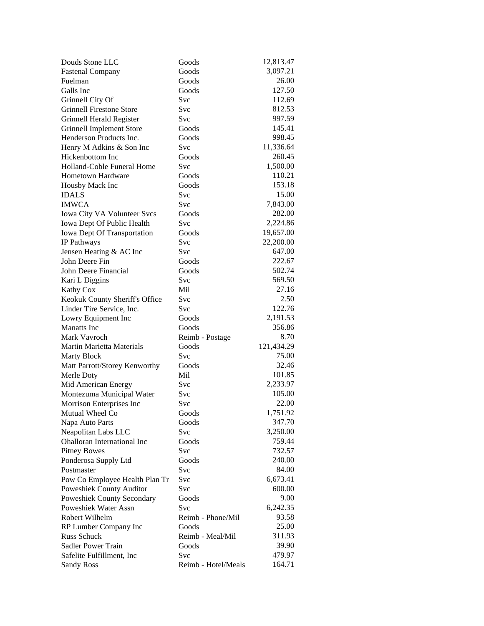| Douds Stone LLC                    | Goods             | 12,813.47  |
|------------------------------------|-------------------|------------|
| <b>Fastenal Company</b>            | Goods             | 3,097.21   |
| Fuelman                            | Goods             | 26.00      |
| Galls Inc                          | Goods             | 127.50     |
| Grinnell City Of                   | Svc               | 112.69     |
| <b>Grinnell Firestone Store</b>    | Svc               | 812.53     |
| Grinnell Herald Register           | Svc               | 997.59     |
| Grinnell Implement Store           | Goods             | 145.41     |
| Henderson Products Inc.            | Goods             | 998.45     |
| Henry M Adkins & Son Inc           | Svc               | 11,336.64  |
| Hickenbottom Inc                   | Goods             | 260.45     |
| Holland-Coble Funeral Home         | Svc               | 1,500.00   |
| Hometown Hardware                  | Goods             | 110.21     |
| Housby Mack Inc                    | Goods             | 153.18     |
| <b>IDALS</b>                       | Svc               | 15.00      |
| <b>IMWCA</b>                       | Svc               | 7,843.00   |
| Iowa City VA Volunteer Svcs        | Goods             | 282.00     |
| Iowa Dept Of Public Health         | Svc               | 2,224.86   |
| Iowa Dept Of Transportation        | Goods             | 19,657.00  |
| IP Pathways                        | Svc               | 22,200.00  |
| Jensen Heating & AC Inc            | <b>Svc</b>        | 647.00     |
| John Deere Fin                     | Goods             | 222.67     |
| John Deere Financial               | Goods             | 502.74     |
| Kari L Diggins                     | Svc               | 569.50     |
| Kathy Cox                          | Mil               | 27.16      |
| Keokuk County Sheriff's Office     | <b>Svc</b>        | 2.50       |
| Linder Tire Service, Inc.          | Svc               | 122.76     |
| Lowry Equipment Inc                | Goods             | 2,191.53   |
| <b>Manatts</b> Inc                 | Goods             | 356.86     |
| Mark Vavroch                       | Reimb - Postage   | 8.70       |
| Martin Marietta Materials          | Goods             | 121,434.29 |
| <b>Marty Block</b>                 | Svc               | 75.00      |
| Matt Parrott/Storey Kenworthy      | Goods             | 32.46      |
| Merle Doty                         | Mil               | 101.85     |
| Mid American Energy                | <b>Svc</b>        | 2,233.97   |
| Montezuma Municipal Water          | Svc               | 105.00     |
| Morrison Enterprises Inc           | Svc               | 22.00      |
| Mutual Wheel Co                    | Goods             | 1,751.92   |
| Napa Auto Parts                    | Goods             | 347.70     |
| Neapolitan Labs LLC                | Svc               | 3,250.00   |
| <b>Ohalloran International Inc</b> | Goods             | 759.44     |
| <b>Pitney Bowes</b>                | Svc               | 732.57     |
| Ponderosa Supply Ltd               | Goods             | 240.00     |
| Postmaster                         | Svc               | 84.00      |
| Pow Co Employee Health Plan Tr     | Svc               | 6,673.41   |
| Poweshiek County Auditor           | Svc               | 600.00     |
| Poweshiek County Secondary         | Goods             | 9.00       |
| Poweshiek Water Assn               | Svc               | 6,242.35   |
| Robert Wilhelm                     | Reimb - Phone/Mil | 93.58      |
| RP Lumber Company Inc              | Goods             | 25.00      |
| <b>Russ Schuck</b>                 | Reimb - Meal/Mil  | 311.93     |
| Sadler Power Train                 | Goods             | 39.90      |
| Safelite Fulfillment, Inc          | Svc               | 479.97     |
|                                    |                   | 164.71     |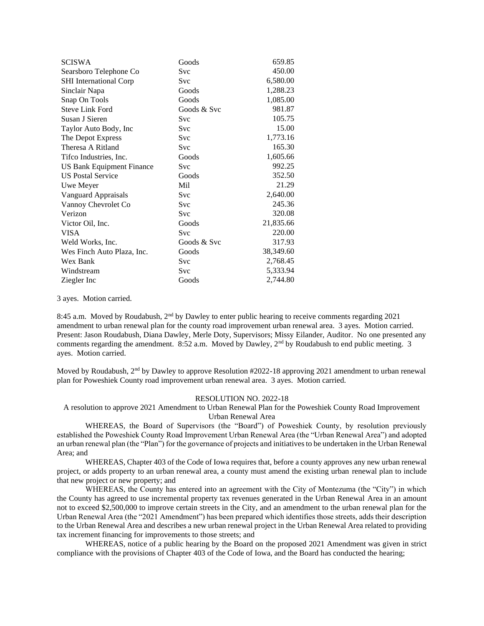| <b>SCISWA</b>                    | Goods       | 659.85    |
|----------------------------------|-------------|-----------|
| Searsboro Telephone Co           | Svc         | 450.00    |
| <b>SHI</b> International Corp    | Svc         | 6,580.00  |
| Sinclair Napa                    | Goods       | 1,288.23  |
| Snap On Tools                    | Goods       | 1,085.00  |
| <b>Steve Link Ford</b>           | Goods & Svc | 981.87    |
| Susan J Sieren                   | Svc         | 105.75    |
| Taylor Auto Body, Inc            | Svc         | 15.00     |
| The Depot Express                | Svc         | 1,773.16  |
| Theresa A Ritland                | Svc         | 165.30    |
| Tifco Industries, Inc.           | Goods       | 1,605.66  |
| <b>US Bank Equipment Finance</b> | Svc         | 992.25    |
| <b>US Postal Service</b>         | Goods       | 352.50    |
| Uwe Meyer                        | Mil         | 21.29     |
| Vanguard Appraisals              | Svc         | 2,640.00  |
| Vannoy Chevrolet Co              | Svc         | 245.36    |
| Verizon                          | Svc         | 320.08    |
| Victor Oil, Inc.                 | Goods       | 21,835.66 |
| <b>VISA</b>                      | <b>Svc</b>  | 220.00    |
| Weld Works, Inc.                 | Goods & Svc | 317.93    |
| Wes Finch Auto Plaza, Inc.       | Goods       | 38,349.60 |
| Wex Bank                         | Svc         | 2,768.45  |
| Windstream                       | Svc         | 5,333.94  |
| Ziegler Inc                      | Goods       | 2,744.80  |

3 ayes. Motion carried.

8:45 a.m. Moved by Roudabush, 2<sup>nd</sup> by Dawley to enter public hearing to receive comments regarding 2021 amendment to urban renewal plan for the county road improvement urban renewal area. 3 ayes. Motion carried. Present: Jason Roudabush, Diana Dawley, Merle Doty, Supervisors; Missy Eilander, Auditor. No one presented any comments regarding the amendment. 8:52 a.m. Moved by Dawley, 2<sup>nd</sup> by Roudabush to end public meeting. 3 ayes. Motion carried.

Moved by Roudabush,  $2<sup>nd</sup>$  by Dawley to approve Resolution #2022-18 approving 2021 amendment to urban renewal plan for Poweshiek County road improvement urban renewal area. 3 ayes. Motion carried.

#### RESOLUTION NO. 2022-18

A resolution to approve 2021 Amendment to Urban Renewal Plan for the Poweshiek County Road Improvement Urban Renewal Area

WHEREAS, the Board of Supervisors (the "Board") of Poweshiek County, by resolution previously established the Poweshiek County Road Improvement Urban Renewal Area (the "Urban Renewal Area") and adopted an urban renewal plan (the "Plan") for the governance of projects and initiatives to be undertaken in the Urban Renewal Area; and

WHEREAS, Chapter 403 of the Code of Iowa requires that, before a county approves any new urban renewal project, or adds property to an urban renewal area, a county must amend the existing urban renewal plan to include that new project or new property; and

WHEREAS, the County has entered into an agreement with the City of Montezuma (the "City") in which the County has agreed to use incremental property tax revenues generated in the Urban Renewal Area in an amount not to exceed \$2,500,000 to improve certain streets in the City, and an amendment to the urban renewal plan for the Urban Renewal Area (the "2021 Amendment") has been prepared which identifies those streets, adds their description to the Urban Renewal Area and describes a new urban renewal project in the Urban Renewal Area related to providing tax increment financing for improvements to those streets; and

WHEREAS, notice of a public hearing by the Board on the proposed 2021 Amendment was given in strict compliance with the provisions of Chapter 403 of the Code of Iowa, and the Board has conducted the hearing;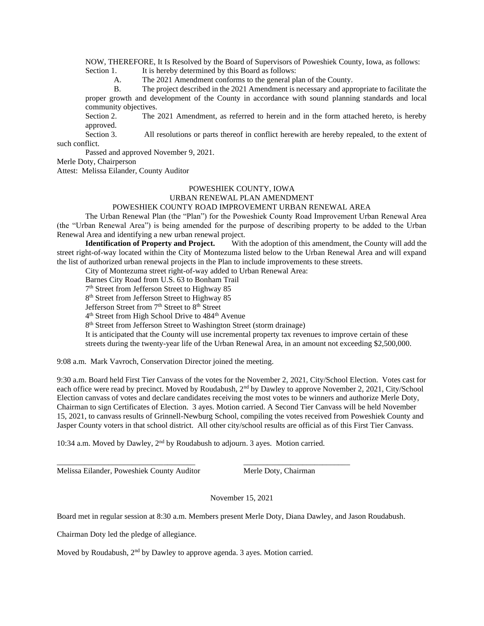NOW, THEREFORE, It Is Resolved by the Board of Supervisors of Poweshiek County, Iowa, as follows: Section 1. It is hereby determined by this Board as follows:

A. The 2021 Amendment conforms to the general plan of the County.

B. The project described in the 2021 Amendment is necessary and appropriate to facilitate the proper growth and development of the County in accordance with sound planning standards and local community objectives.

Section 2. The 2021 Amendment, as referred to herein and in the form attached hereto, is hereby approved.

Section 3. All resolutions or parts thereof in conflict herewith are hereby repealed, to the extent of such conflict.

Passed and approved November 9, 2021.

Merle Doty, Chairperson

Attest: Melissa Eilander, County Auditor

# POWESHIEK COUNTY, IOWA

# URBAN RENEWAL PLAN AMENDMENT

### POWESHIEK COUNTY ROAD IMPROVEMENT URBAN RENEWAL AREA

The Urban Renewal Plan (the "Plan") for the Poweshiek County Road Improvement Urban Renewal Area (the "Urban Renewal Area") is being amended for the purpose of describing property to be added to the Urban Renewal Area and identifying a new urban renewal project.<br>Identification of Property and Project. With

With the adoption of this amendment, the County will add the street right-of-way located within the City of Montezuma listed below to the Urban Renewal Area and will expand the list of authorized urban renewal projects in the Plan to include improvements to these streets.

City of Montezuma street right-of-way added to Urban Renewal Area:

Barnes City Road from U.S. 63 to Bonham Trail

7<sup>th</sup> Street from Jefferson Street to Highway 85

8<sup>th</sup> Street from Jefferson Street to Highway 85

Jefferson Street from 7<sup>th</sup> Street to 8<sup>th</sup> Street

4<sup>th</sup> Street from High School Drive to 484<sup>th</sup> Avenue

8<sup>th</sup> Street from Jefferson Street to Washington Street (storm drainage)

It is anticipated that the County will use incremental property tax revenues to improve certain of these streets during the twenty-year life of the Urban Renewal Area, in an amount not exceeding \$2,500,000.

9:08 a.m. Mark Vavroch, Conservation Director joined the meeting.

9:30 a.m. Board held First Tier Canvass of the votes for the November 2, 2021, City/School Election. Votes cast for each office were read by precinct. Moved by Roudabush, 2<sup>nd</sup> by Dawley to approve November 2, 2021, City/School Election canvass of votes and declare candidates receiving the most votes to be winners and authorize Merle Doty, Chairman to sign Certificates of Election. 3 ayes. Motion carried. A Second Tier Canvass will be held November 15, 2021, to canvass results of Grinnell-Newburg School, compiling the votes received from Poweshiek County and Jasper County voters in that school district. All other city/school results are official as of this First Tier Canvass.

10:34 a.m. Moved by Dawley, 2nd by Roudabush to adjourn. 3 ayes. Motion carried.

\_\_\_\_\_\_\_\_\_\_\_\_\_\_\_\_\_\_\_\_\_\_\_\_\_\_\_\_\_\_\_\_\_\_\_ \_\_\_\_\_\_\_\_\_\_\_\_\_\_\_\_\_\_\_\_\_\_\_\_\_\_\_

Melissa Eilander, Poweshiek County Auditor Merle Doty, Chairman

November 15, 2021

Board met in regular session at 8:30 a.m. Members present Merle Doty, Diana Dawley, and Jason Roudabush.

Chairman Doty led the pledge of allegiance.

Moved by Roudabush, 2<sup>nd</sup> by Dawley to approve agenda. 3 ayes. Motion carried.